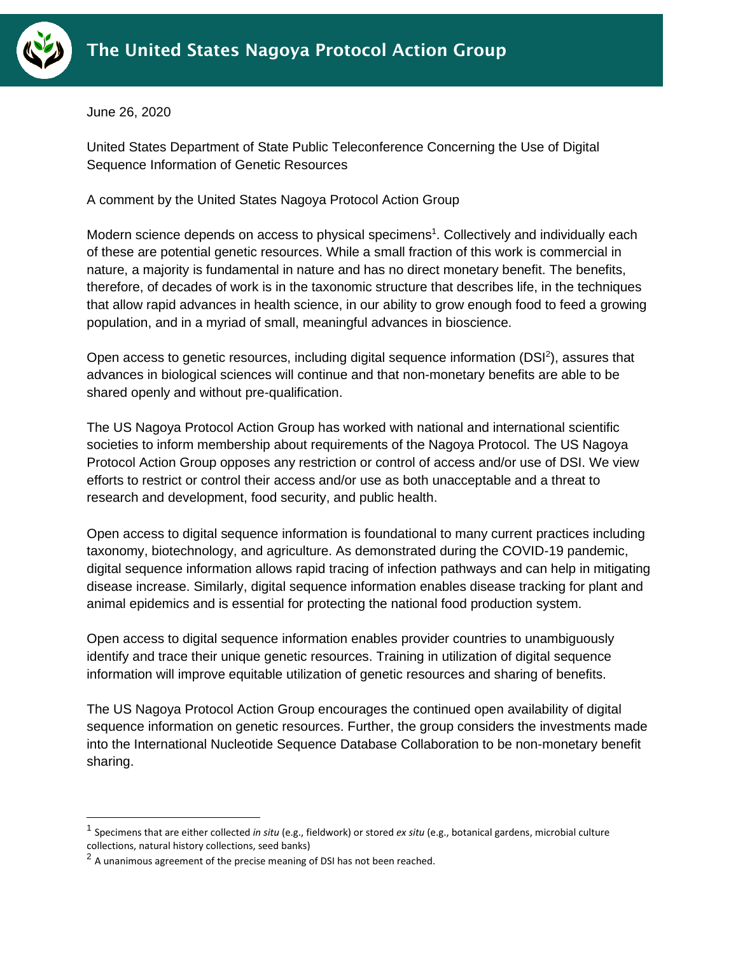

June 26, 2020

United States Department of State Public Teleconference Concerning the Use of Digital Sequence Information of Genetic Resources

A comment by the United States Nagoya Protocol Action Group

Modern science depends on access to physical specimens<sup>1</sup>. Collectively and individually each of these are potential genetic resources. While a small fraction of this work is commercial in nature, a majority is fundamental in nature and has no direct monetary benefit. The benefits, therefore, of decades of work is in the taxonomic structure that describes life, in the techniques that allow rapid advances in health science, in our ability to grow enough food to feed a growing population, and in a myriad of small, meaningful advances in bioscience.

Open access to genetic resources, including digital sequence information (DSI<sup>2</sup>), assures that advances in biological sciences will continue and that non-monetary benefits are able to be shared openly and without pre-qualification.

The US Nagoya Protocol Action Group has worked with national and international scientific societies to inform membership about requirements of the Nagoya Protocol. The US Nagoya Protocol Action Group opposes any restriction or control of access and/or use of DSI. We view efforts to restrict or control their access and/or use as both unacceptable and a threat to research and development, food security, and public health.

Open access to digital sequence information is foundational to many current practices including taxonomy, biotechnology, and agriculture. As demonstrated during the COVID-19 pandemic, digital sequence information allows rapid tracing of infection pathways and can help in mitigating disease increase. Similarly, digital sequence information enables disease tracking for plant and animal epidemics and is essential for protecting the national food production system.

Open access to digital sequence information enables provider countries to unambiguously identify and trace their unique genetic resources. Training in utilization of digital sequence information will improve equitable utilization of genetic resources and sharing of benefits.

The US Nagoya Protocol Action Group encourages the continued open availability of digital sequence information on genetic resources. Further, the group considers the investments made into the International Nucleotide Sequence Database Collaboration to be non-monetary benefit sharing.

<sup>1</sup> Specimens that are either collected *in situ* (e.g., fieldwork) or stored *ex situ* (e.g., botanical gardens, microbial culture collections, natural history collections, seed banks)

 $^2$  A unanimous agreement of the precise meaning of DSI has not been reached.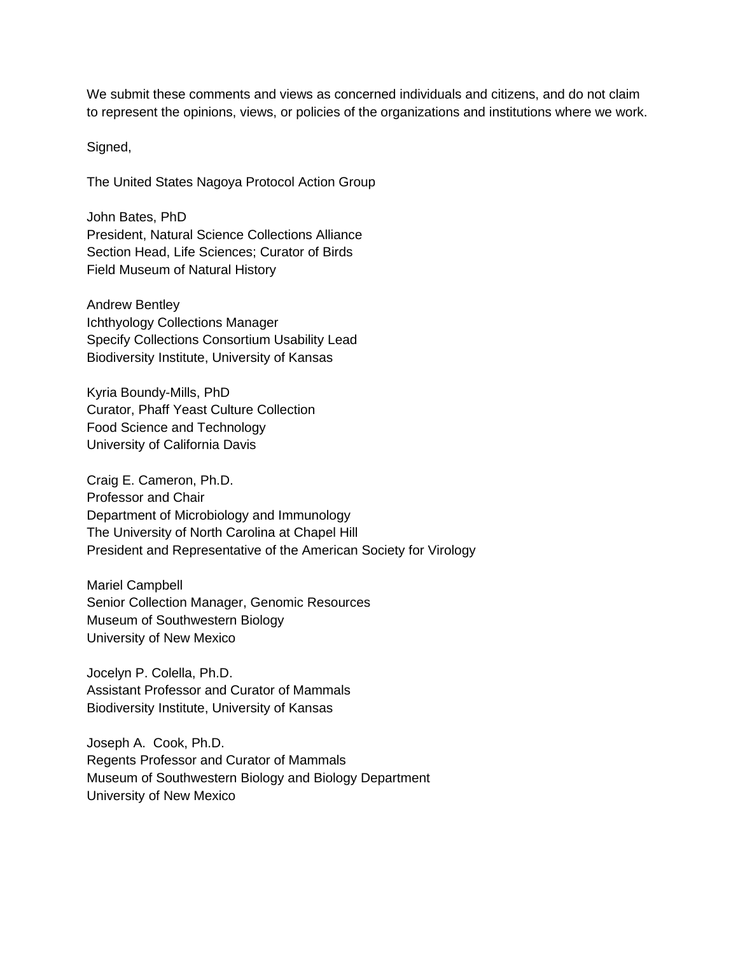We submit these comments and views as concerned individuals and citizens, and do not claim to represent the opinions, views, or policies of the organizations and institutions where we work.

Signed,

The United States Nagoya Protocol Action Group

John Bates, PhD President, Natural Science Collections Alliance Section Head, Life Sciences; Curator of Birds Field Museum of Natural History

Andrew Bentley Ichthyology Collections Manager Specify Collections Consortium Usability Lead Biodiversity Institute, University of Kansas

Kyria Boundy-Mills, PhD Curator, Phaff Yeast Culture Collection Food Science and Technology University of California Davis

Craig E. Cameron, Ph.D. Professor and Chair Department of Microbiology and Immunology The University of North Carolina at Chapel Hill President and Representative of the American Society for Virology

Mariel Campbell Senior Collection Manager, Genomic Resources Museum of Southwestern Biology University of New Mexico

Jocelyn P. Colella, Ph.D. Assistant Professor and Curator of Mammals Biodiversity Institute, University of Kansas

Joseph A. Cook, Ph.D. Regents Professor and Curator of Mammals Museum of Southwestern Biology and Biology Department University of New Mexico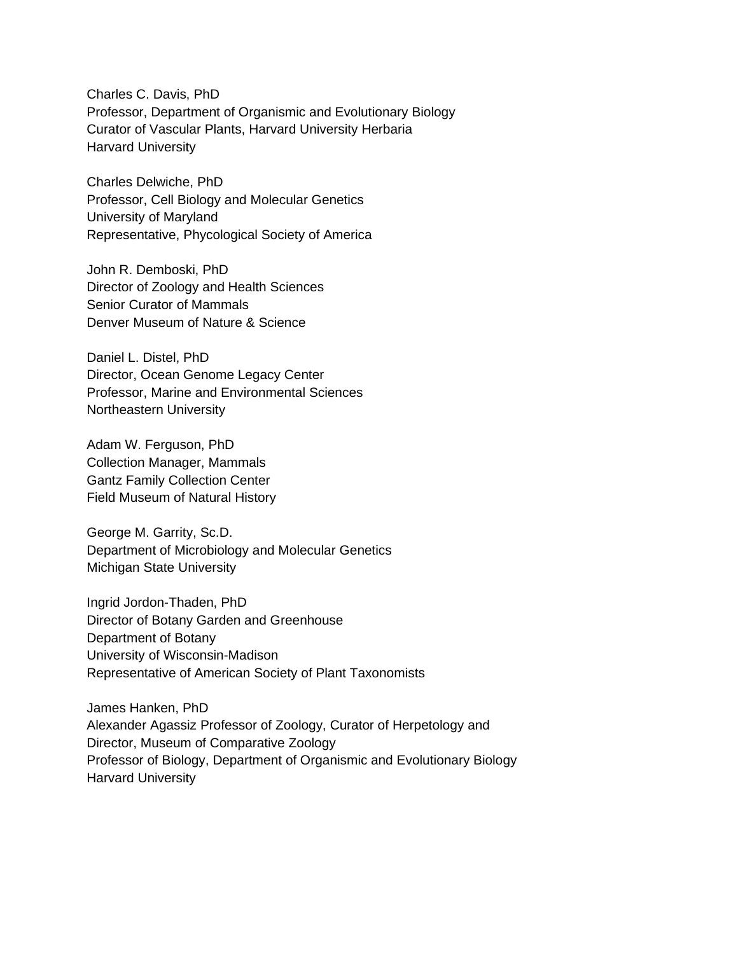Charles C. Davis, PhD Professor, Department of Organismic and Evolutionary Biology Curator of Vascular Plants, Harvard University Herbaria Harvard University

Charles Delwiche, PhD Professor, Cell Biology and Molecular Genetics University of Maryland Representative, Phycological Society of America

John R. Demboski, PhD Director of Zoology and Health Sciences Senior Curator of Mammals Denver Museum of Nature & Science

Daniel L. Distel, PhD Director, Ocean Genome Legacy Center Professor, Marine and Environmental Sciences Northeastern University

Adam W. Ferguson, PhD Collection Manager, Mammals Gantz Family Collection Center Field Museum of Natural History

George M. Garrity, Sc.D. Department of Microbiology and Molecular Genetics Michigan State University

Ingrid Jordon-Thaden, PhD Director of Botany Garden and Greenhouse Department of Botany University of Wisconsin-Madison Representative of American Society of Plant Taxonomists

James Hanken, PhD Alexander Agassiz Professor of Zoology, Curator of Herpetology and Director, Museum of Comparative Zoology Professor of Biology, Department of Organismic and Evolutionary Biology Harvard University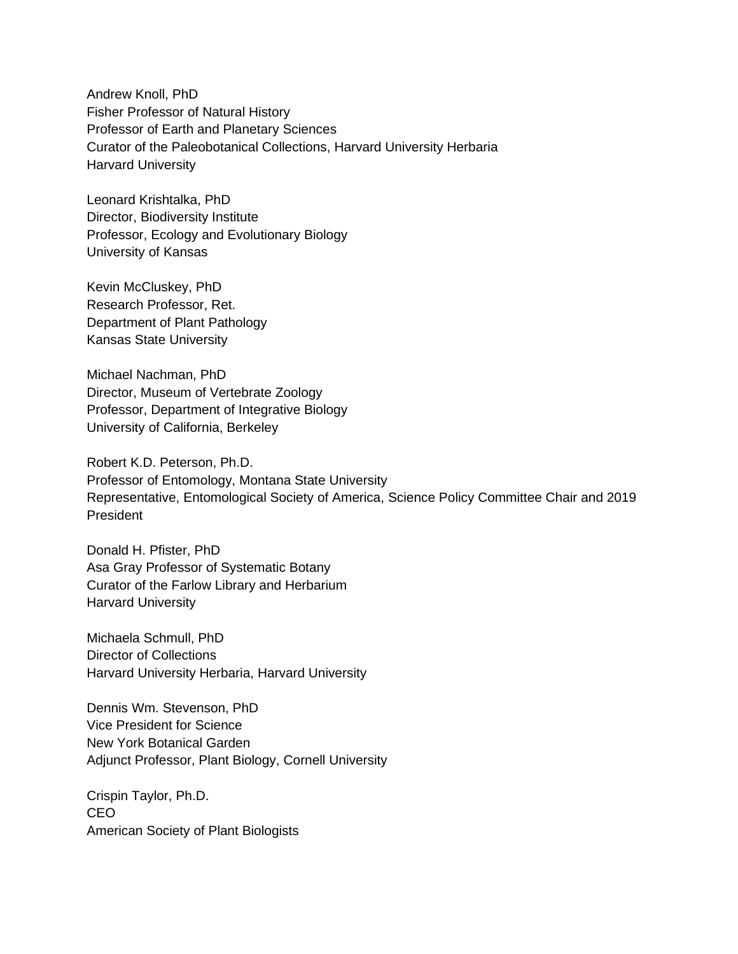Andrew Knoll, PhD Fisher Professor of Natural History Professor of Earth and Planetary Sciences Curator of the Paleobotanical Collections, Harvard University Herbaria Harvard University

Leonard Krishtalka, PhD Director, Biodiversity Institute Professor, Ecology and Evolutionary Biology University of Kansas

Kevin McCluskey, PhD Research Professor, Ret. Department of Plant Pathology Kansas State University

Michael Nachman, PhD Director, Museum of Vertebrate Zoology Professor, Department of Integrative Biology University of California, Berkeley

Robert K.D. Peterson, Ph.D. Professor of Entomology, Montana State University Representative, Entomological Society of America, Science Policy Committee Chair and 2019 President

Donald H. Pfister, PhD Asa Gray Professor of Systematic Botany Curator of the Farlow Library and Herbarium Harvard University

Michaela Schmull, PhD Director of Collections Harvard University Herbaria, Harvard University

Dennis Wm. Stevenson, PhD Vice President for Science New York Botanical Garden Adjunct Professor, Plant Biology, Cornell University

Crispin Taylor, Ph.D. CEO American Society of Plant Biologists